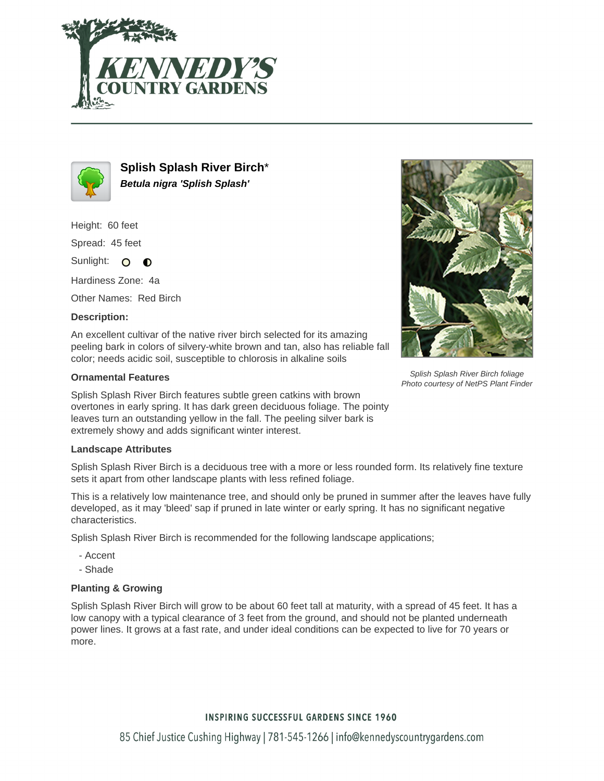



**Splish Splash River Birch**\* **Betula nigra 'Splish Splash'**

Height: 60 feet

Spread: 45 feet

Sunlight: O **O** 

Hardiness Zone: 4a

Other Names: Red Birch

# **Description:**

An excellent cultivar of the native river birch selected for its amazing peeling bark in colors of silvery-white brown and tan, also has reliable fall color; needs acidic soil, susceptible to chlorosis in alkaline soils

# **Ornamental Features**

Splish Splash River Birch features subtle green catkins with brown overtones in early spring. It has dark green deciduous foliage. The pointy leaves turn an outstanding yellow in the fall. The peeling silver bark is extremely showy and adds significant winter interest.

### **Landscape Attributes**

Splish Splash River Birch is a deciduous tree with a more or less rounded form. Its relatively fine texture sets it apart from other landscape plants with less refined foliage.

This is a relatively low maintenance tree, and should only be pruned in summer after the leaves have fully developed, as it may 'bleed' sap if pruned in late winter or early spring. It has no significant negative characteristics.

Splish Splash River Birch is recommended for the following landscape applications;

- Accent
- Shade

### **Planting & Growing**

Splish Splash River Birch will grow to be about 60 feet tall at maturity, with a spread of 45 feet. It has a low canopy with a typical clearance of 3 feet from the ground, and should not be planted underneath power lines. It grows at a fast rate, and under ideal conditions can be expected to live for 70 years or more.



Splish Splash River Birch foliage Photo courtesy of NetPS Plant Finder

# **INSPIRING SUCCESSFUL GARDENS SINCE 1960**